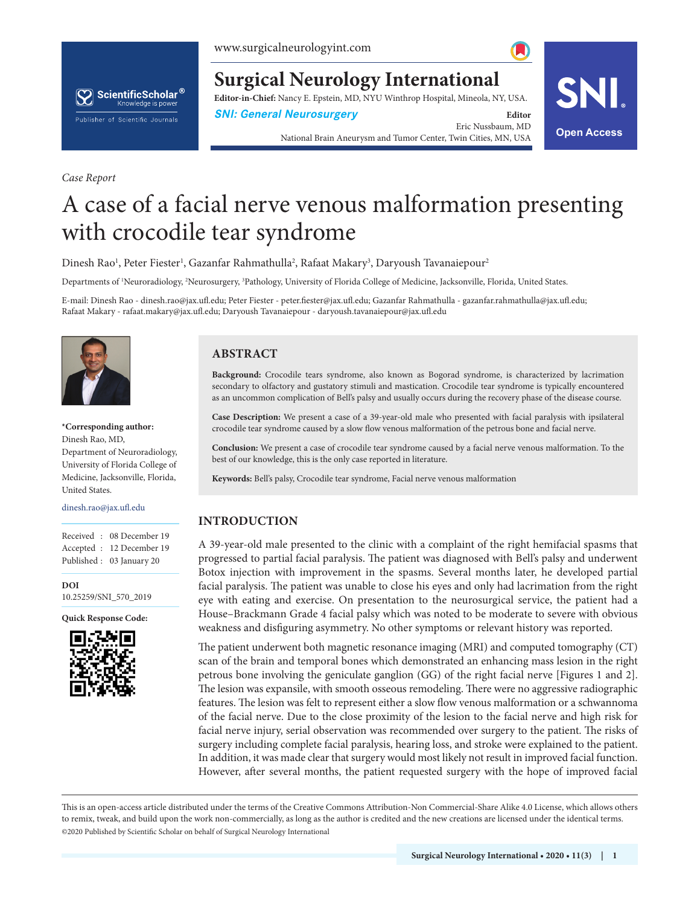

**Surgical Neurology International**

**Editor-in-Chief:** Nancy E. Epstein, MD, NYU Winthrop Hospital, Mineola, NY, USA.

**SNI: General Neurosurgery Editor Editor** 

Eric Nussbaum, MD National Brain Aneurysm and Tumor Center, Twin Cities, MN, USA **Open Access**



# A case of a facial nerve venous malformation presenting with crocodile tear syndrome

Dinesh Rao<sup>1</sup>, Peter Fiester<sup>1</sup>, Gazanfar Rahmathulla<sup>2</sup>, Rafaat Makary<sup>3</sup>, Daryoush Tavanaiepour<sup>2</sup>

Departments of <sup>1</sup>Neuroradiology, <sup>2</sup>Neurosurgery, <sup>3</sup>Pathology, University of Florida College of Medicine, Jacksonville, Florida, United States.

E-mail: Dinesh Rao - dinesh.rao@jax.ufl.edu; Peter Fiester - peter.fiester@jax.ufl.edu; Gazanfar Rahmathulla - gazanfar.rahmathulla@jax.ufl.edu; Rafaat Makary - rafaat.makary@jax.ufl.edu; Daryoush Tavanaiepour - daryoush.tavanaiepour@jax.ufl.edu



*Case Report*

**\*Corresponding author:** Dinesh Rao, MD, Department of Neuroradiology, University of Florida College of Medicine, Jacksonville, Florida, United States.

dinesh.rao@jax.ufl.edu

Received : 08 December 19 Accepted : 12 December 19 Published : 03 January 20

**DOI**

10.25259/SNI\_570\_2019

**Quick Response Code:**



## **ABSTRACT**

**Background:** Crocodile tears syndrome, also known as Bogorad syndrome, is characterized by lacrimation secondary to olfactory and gustatory stimuli and mastication. Crocodile tear syndrome is typically encountered as an uncommon complication of Bell's palsy and usually occurs during the recovery phase of the disease course.

**Case Description:** We present a case of a 39-year-old male who presented with facial paralysis with ipsilateral crocodile tear syndrome caused by a slow flow venous malformation of the petrous bone and facial nerve.

**Conclusion:** We present a case of crocodile tear syndrome caused by a facial nerve venous malformation. To the best of our knowledge, this is the only case reported in literature.

**Keywords:** Bell's palsy, Crocodile tear syndrome, Facial nerve venous malformation

### **INTRODUCTION**

A 39-year-old male presented to the clinic with a complaint of the right hemifacial spasms that progressed to partial facial paralysis. The patient was diagnosed with Bell's palsy and underwent Botox injection with improvement in the spasms. Several months later, he developed partial facial paralysis. The patient was unable to close his eyes and only had lacrimation from the right eye with eating and exercise. On presentation to the neurosurgical service, the patient had a House–Brackmann Grade 4 facial palsy which was noted to be moderate to severe with obvious weakness and disfiguring asymmetry. No other symptoms or relevant history was reported.

The patient underwent both magnetic resonance imaging (MRI) and computed tomography (CT) scan of the brain and temporal bones which demonstrated an enhancing mass lesion in the right petrous bone involving the geniculate ganglion (GG) of the right facial nerve [Figures 1 and 2]. The lesion was expansile, with smooth osseous remodeling. There were no aggressive radiographic features. The lesion was felt to represent either a slow flow venous malformation or a schwannoma of the facial nerve. Due to the close proximity of the lesion to the facial nerve and high risk for facial nerve injury, serial observation was recommended over surgery to the patient. The risks of surgery including complete facial paralysis, hearing loss, and stroke were explained to the patient. In addition, it was made clear that surgery would most likely not result in improved facial function. However, after several months, the patient requested surgery with the hope of improved facial

is is an open-access article distributed under the terms of the Creative Commons Attribution-Non Commercial-Share Alike 4.0 License, which allows others to remix, tweak, and build upon the work non-commercially, as long as the author is credited and the new creations are licensed under the identical terms. ©2020 Published by Scientific Scholar on behalf of Surgical Neurology International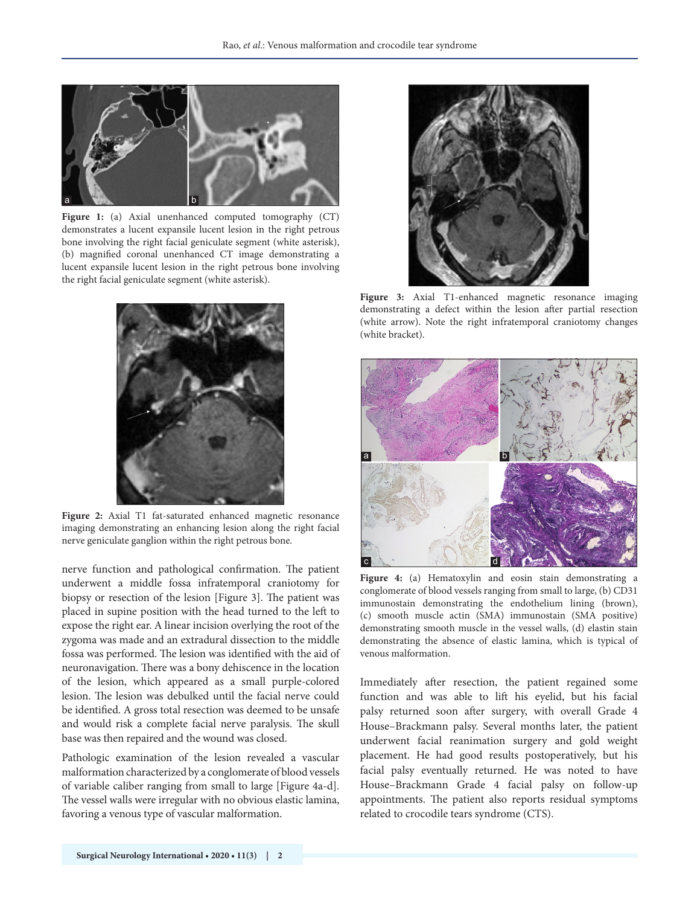

Figure 1: (a) Axial unenhanced computed tomography (CT) demonstrates a lucent expansile lucent lesion in the right petrous bone involving the right facial geniculate segment (white asterisk), (b) magnified coronal unenhanced CT image demonstrating a lucent expansile lucent lesion in the right petrous bone involving the right facial geniculate segment (white asterisk).



**Figure 2:** Axial T1 fat-saturated enhanced magnetic resonance imaging demonstrating an enhancing lesion along the right facial nerve geniculate ganglion within the right petrous bone.

nerve function and pathological confirmation. The patient underwent a middle fossa infratemporal craniotomy for biopsy or resection of the lesion [Figure 3]. The patient was placed in supine position with the head turned to the left to expose the right ear. A linear incision overlying the root of the zygoma was made and an extradural dissection to the middle fossa was performed. The lesion was identified with the aid of neuronavigation. There was a bony dehiscence in the location of the lesion, which appeared as a small purple-colored lesion. The lesion was debulked until the facial nerve could be identified. A gross total resection was deemed to be unsafe and would risk a complete facial nerve paralysis. The skull base was then repaired and the wound was closed.

Pathologic examination of the lesion revealed a vascular malformation characterized by a conglomerate of blood vessels of variable caliber ranging from small to large [Figure 4a-d]. The vessel walls were irregular with no obvious elastic lamina, favoring a venous type of vascular malformation.



**Figure 3:** Axial T1-enhanced magnetic resonance imaging demonstrating a defect within the lesion after partial resection (white arrow). Note the right infratemporal craniotomy changes (white bracket).



**Figure 4:** (a) Hematoxylin and eosin stain demonstrating a conglomerate of blood vessels ranging from small to large, (b) CD31 immunostain demonstrating the endothelium lining (brown), (c) smooth muscle actin (SMA) immunostain (SMA positive) demonstrating smooth muscle in the vessel walls, (d) elastin stain demonstrating the absence of elastic lamina, which is typical of venous malformation.

Immediately after resection, the patient regained some function and was able to lift his eyelid, but his facial palsy returned soon after surgery, with overall Grade 4 House–Brackmann palsy. Several months later, the patient underwent facial reanimation surgery and gold weight placement. He had good results postoperatively, but his facial palsy eventually returned. He was noted to have House–Brackmann Grade 4 facial palsy on follow-up appointments. The patient also reports residual symptoms related to crocodile tears syndrome (CTS).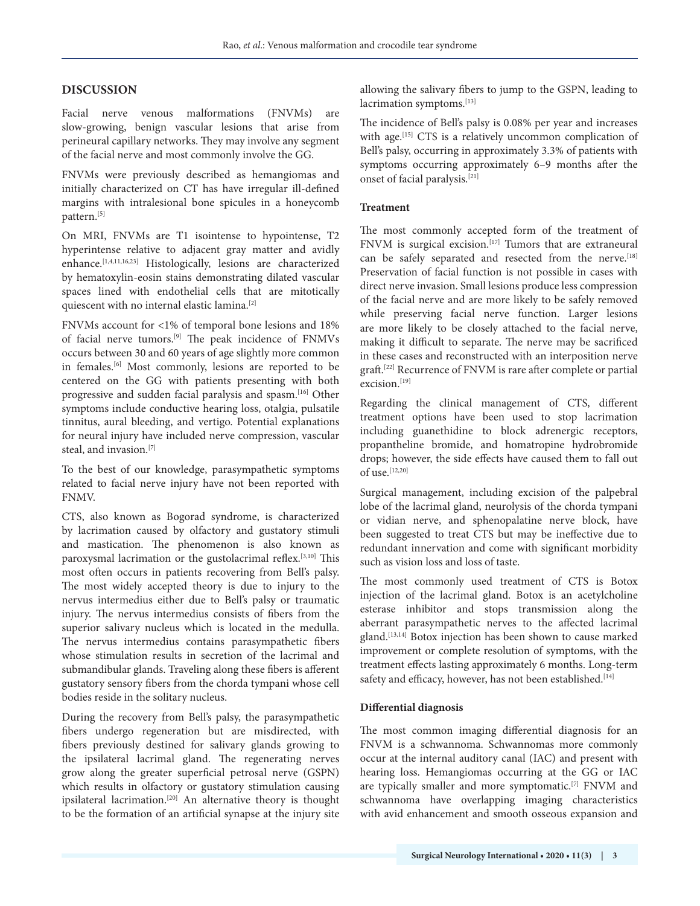## **DISCUSSION**

Facial nerve venous malformations (FNVMs) are slow-growing, benign vascular lesions that arise from perineural capillary networks. They may involve any segment of the facial nerve and most commonly involve the GG.

FNVMs were previously described as hemangiomas and initially characterized on CT has have irregular ill-defined margins with intralesional bone spicules in a honeycomb pattern.<sup>[5]</sup>

On MRI, FNVMs are T1 isointense to hypointense, T2 hyperintense relative to adjacent gray matter and avidly enhance.<sup>[1,4,11,16,23]</sup> Histologically, lesions are characterized by hematoxylin-eosin stains demonstrating dilated vascular spaces lined with endothelial cells that are mitotically quiescent with no internal elastic lamina.[2]

FNVMs account for <1% of temporal bone lesions and 18% of facial nerve tumors.<sup>[9]</sup> The peak incidence of FNMVs occurs between 30 and 60 years of age slightly more common in females.[6] Most commonly, lesions are reported to be centered on the GG with patients presenting with both progressive and sudden facial paralysis and spasm.[16] Other symptoms include conductive hearing loss, otalgia, pulsatile tinnitus, aural bleeding, and vertigo. Potential explanations for neural injury have included nerve compression, vascular steal, and invasion.[7]

To the best of our knowledge, parasympathetic symptoms related to facial nerve injury have not been reported with FNMV.

CTS, also known as Bogorad syndrome, is characterized by lacrimation caused by olfactory and gustatory stimuli and mastication. The phenomenon is also known as paroxysmal lacrimation or the gustolacrimal reflex.[3,10] This most often occurs in patients recovering from Bell's palsy. The most widely accepted theory is due to injury to the nervus intermedius either due to Bell's palsy or traumatic injury. The nervus intermedius consists of fibers from the superior salivary nucleus which is located in the medulla. The nervus intermedius contains parasympathetic fibers whose stimulation results in secretion of the lacrimal and submandibular glands. Traveling along these fibers is afferent gustatory sensory fibers from the chorda tympani whose cell bodies reside in the solitary nucleus.

During the recovery from Bell's palsy, the parasympathetic fibers undergo regeneration but are misdirected, with fibers previously destined for salivary glands growing to the ipsilateral lacrimal gland. The regenerating nerves grow along the greater superficial petrosal nerve (GSPN) which results in olfactory or gustatory stimulation causing ipsilateral lacrimation.[20] An alternative theory is thought to be the formation of an artificial synapse at the injury site

allowing the salivary fibers to jump to the GSPN, leading to lacrimation symptoms.<sup>[13]</sup>

The incidence of Bell's palsy is 0.08% per year and increases with age.<sup>[15]</sup> CTS is a relatively uncommon complication of Bell's palsy, occurring in approximately 3.3% of patients with symptoms occurring approximately 6–9 months after the onset of facial paralysis.[21]

## **Treatment**

The most commonly accepted form of the treatment of FNVM is surgical excision.<sup>[17]</sup> Tumors that are extraneural can be safely separated and resected from the nerve.<sup>[18]</sup> Preservation of facial function is not possible in cases with direct nerve invasion. Small lesions produce less compression of the facial nerve and are more likely to be safely removed while preserving facial nerve function. Larger lesions are more likely to be closely attached to the facial nerve, making it difficult to separate. The nerve may be sacrificed in these cases and reconstructed with an interposition nerve graft.[22] Recurrence of FNVM is rare after complete or partial excision.[19]

Regarding the clinical management of CTS, different treatment options have been used to stop lacrimation including guanethidine to block adrenergic receptors, propantheline bromide, and homatropine hydrobromide drops; however, the side effects have caused them to fall out of use. $[12,20]$ 

Surgical management, including excision of the palpebral lobe of the lacrimal gland, neurolysis of the chorda tympani or vidian nerve, and sphenopalatine nerve block, have been suggested to treat CTS but may be ineffective due to redundant innervation and come with significant morbidity such as vision loss and loss of taste.

The most commonly used treatment of CTS is Botox injection of the lacrimal gland. Botox is an acetylcholine esterase inhibitor and stops transmission along the aberrant parasympathetic nerves to the affected lacrimal gland.[13,14] Botox injection has been shown to cause marked improvement or complete resolution of symptoms, with the treatment effects lasting approximately 6 months. Long-term safety and efficacy, however, has not been established.<sup>[14]</sup>

### **Differential diagnosis**

The most common imaging differential diagnosis for an FNVM is a schwannoma. Schwannomas more commonly occur at the internal auditory canal (IAC) and present with hearing loss. Hemangiomas occurring at the GG or IAC are typically smaller and more symptomatic.[7] FNVM and schwannoma have overlapping imaging characteristics with avid enhancement and smooth osseous expansion and